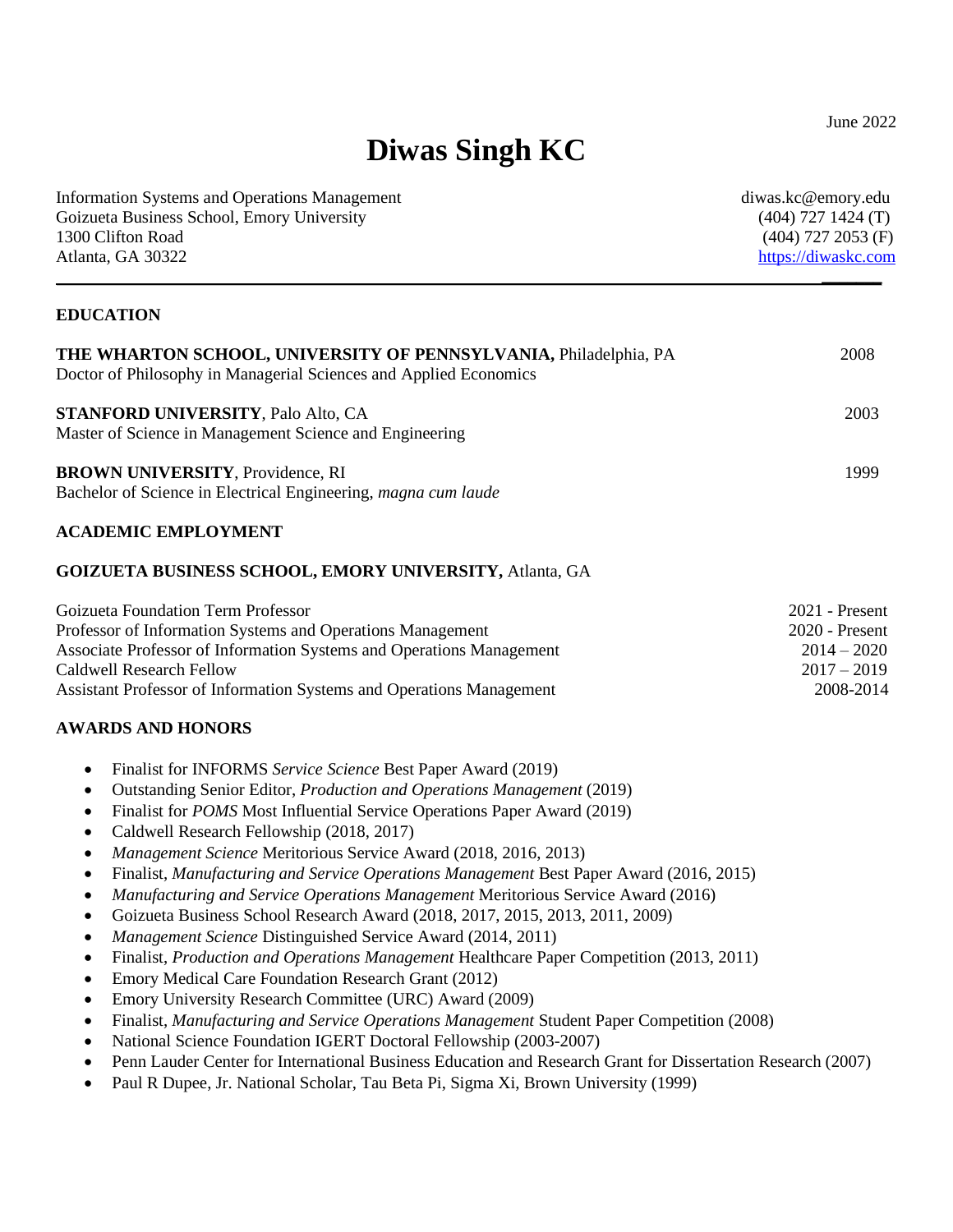# **Diwas Singh KC**

| <b>Information Systems and Operations Management</b><br>Goizueta Business School, Emory University<br>1300 Clifton Road<br>Atlanta, GA 30322                                                                                                                                                                                                                                                                                                                                                                                                                                                                                                                                                                                                                                                                                                                                                                                                                                                                                                                                                                                                                                                                            | diwas.kc@emory.edu<br>$(404)$ 727 1424 (T)<br>$(404)$ 727 2053 (F)<br>https://diwaskc.com |
|-------------------------------------------------------------------------------------------------------------------------------------------------------------------------------------------------------------------------------------------------------------------------------------------------------------------------------------------------------------------------------------------------------------------------------------------------------------------------------------------------------------------------------------------------------------------------------------------------------------------------------------------------------------------------------------------------------------------------------------------------------------------------------------------------------------------------------------------------------------------------------------------------------------------------------------------------------------------------------------------------------------------------------------------------------------------------------------------------------------------------------------------------------------------------------------------------------------------------|-------------------------------------------------------------------------------------------|
| <b>EDUCATION</b>                                                                                                                                                                                                                                                                                                                                                                                                                                                                                                                                                                                                                                                                                                                                                                                                                                                                                                                                                                                                                                                                                                                                                                                                        |                                                                                           |
| <b>THE WHARTON SCHOOL, UNIVERSITY OF PENNSYLVANIA, Philadelphia, PA</b><br>Doctor of Philosophy in Managerial Sciences and Applied Economics                                                                                                                                                                                                                                                                                                                                                                                                                                                                                                                                                                                                                                                                                                                                                                                                                                                                                                                                                                                                                                                                            | 2008                                                                                      |
| <b>STANFORD UNIVERSITY, Palo Alto, CA</b><br>Master of Science in Management Science and Engineering                                                                                                                                                                                                                                                                                                                                                                                                                                                                                                                                                                                                                                                                                                                                                                                                                                                                                                                                                                                                                                                                                                                    | 2003                                                                                      |
| <b>BROWN UNIVERSITY, Providence, RI</b><br>Bachelor of Science in Electrical Engineering, magna cum laude                                                                                                                                                                                                                                                                                                                                                                                                                                                                                                                                                                                                                                                                                                                                                                                                                                                                                                                                                                                                                                                                                                               | 1999                                                                                      |
| <b>ACADEMIC EMPLOYMENT</b>                                                                                                                                                                                                                                                                                                                                                                                                                                                                                                                                                                                                                                                                                                                                                                                                                                                                                                                                                                                                                                                                                                                                                                                              |                                                                                           |
| <b>GOIZUETA BUSINESS SCHOOL, EMORY UNIVERSITY, Atlanta, GA</b>                                                                                                                                                                                                                                                                                                                                                                                                                                                                                                                                                                                                                                                                                                                                                                                                                                                                                                                                                                                                                                                                                                                                                          |                                                                                           |
| Goizueta Foundation Term Professor<br>Professor of Information Systems and Operations Management<br>Associate Professor of Information Systems and Operations Management<br><b>Caldwell Research Fellow</b><br>Assistant Professor of Information Systems and Operations Management                                                                                                                                                                                                                                                                                                                                                                                                                                                                                                                                                                                                                                                                                                                                                                                                                                                                                                                                     | 2021 - Present<br>2020 - Present<br>$2014 - 2020$<br>$2017 - 2019$<br>2008-2014           |
| <b>AWARDS AND HONORS</b><br>Finalist for INFORMS Service Science Best Paper Award (2019)<br>٠<br>Outstanding Senior Editor, Production and Operations Management (2019)<br>Finalist for POMS Most Influential Service Operations Paper Award (2019)<br>Caldwell Research Fellowship (2018, 2017)<br>Management Science Meritorious Service Award (2018, 2016, 2013)<br>Finalist, Manufacturing and Service Operations Management Best Paper Award (2016, 2015)<br>$\bullet$<br>Manufacturing and Service Operations Management Meritorious Service Award (2016)<br>Goizueta Business School Research Award (2018, 2017, 2015, 2013, 2011, 2009)<br>Management Science Distinguished Service Award (2014, 2011)<br>Finalist, Production and Operations Management Healthcare Paper Competition (2013, 2011)<br>Emory Medical Care Foundation Research Grant (2012)<br>Emory University Research Committee (URC) Award (2009)<br>٠<br>Finalist, Manufacturing and Service Operations Management Student Paper Competition (2008)<br>National Science Foundation IGERT Doctoral Fellowship (2003-2007)<br>Penn Lauder Center for International Business Education and Research Grant for Dissertation Research (2007)<br>٠ |                                                                                           |

• Paul R Dupee, Jr. National Scholar, Tau Beta Pi, Sigma Xi, Brown University (1999)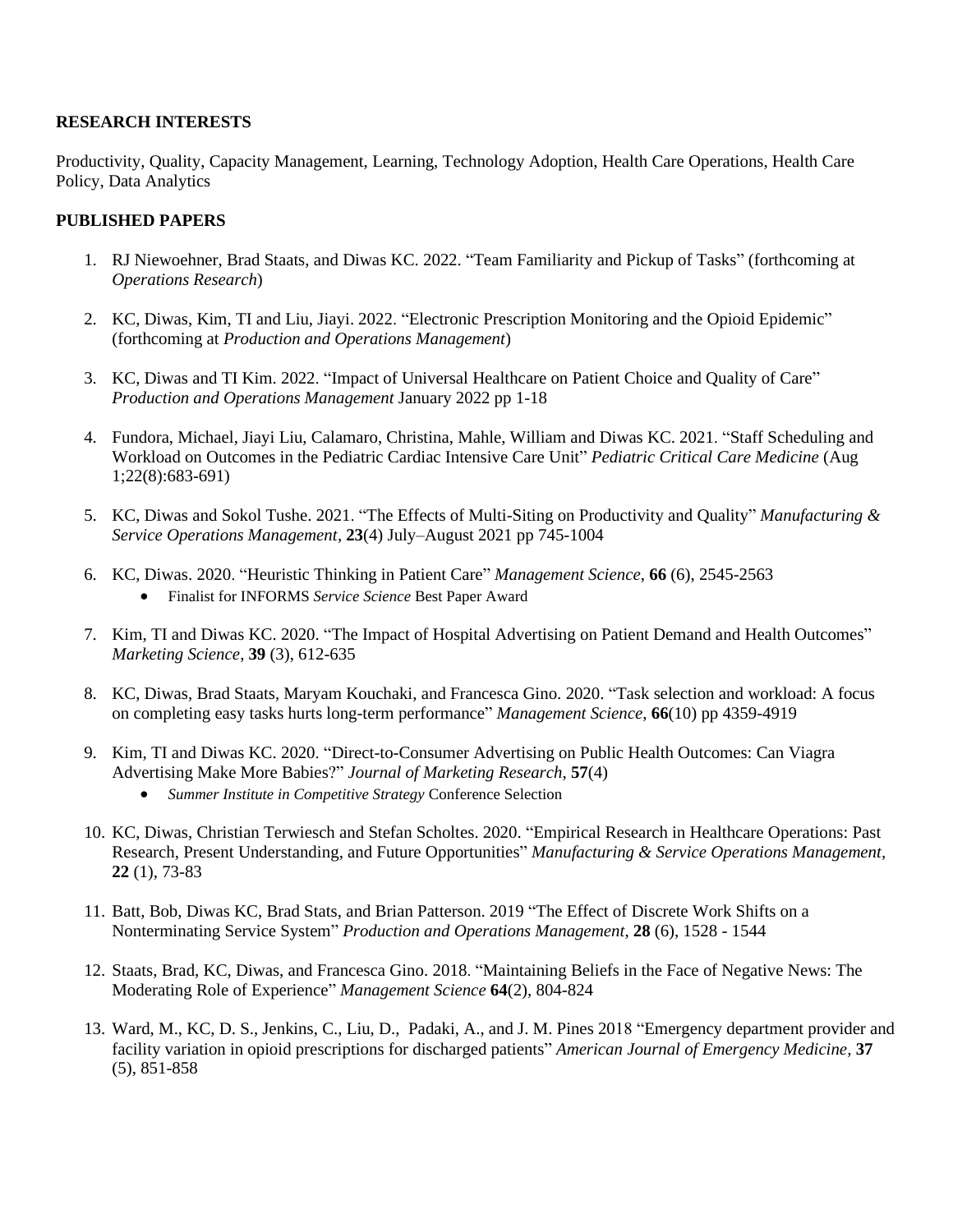#### **RESEARCH INTERESTS**

Productivity, Quality, Capacity Management, Learning, Technology Adoption, Health Care Operations, Health Care Policy, Data Analytics

#### **PUBLISHED PAPERS**

- 1. RJ Niewoehner, Brad Staats, and Diwas KC. 2022. "Team Familiarity and Pickup of Tasks" (forthcoming at *Operations Research*)
- 2. KC, Diwas, Kim, TI and Liu, Jiayi. 2022. "Electronic Prescription Monitoring and the Opioid Epidemic" (forthcoming at *Production and Operations Management*)
- 3. KC, Diwas and TI Kim. 2022. "Impact of Universal Healthcare on Patient Choice and Quality of Care" *Production and Operations Management* January 2022 pp 1-18
- 4. Fundora, Michael, Jiayi Liu, Calamaro, Christina, Mahle, William and Diwas KC. 2021. "Staff Scheduling and Workload on Outcomes in the Pediatric Cardiac Intensive Care Unit" *Pediatric Critical Care Medicine* (Aug 1;22(8):683-691)
- 5. KC, Diwas and Sokol Tushe. 2021. ["The Effects of Multi-Siting on Productivity](https://ssrn.com/abstract=3445192) and Quality" *Manufacturing & Service Operations Management*, **23**(4) July–August 2021 pp 745-1004
- 6. KC, Diwas. 2020. ["Heuristic Thinking in Patient Care"](https://ssrn.com/abstract=3341370) *Management Science*, **66** (6), 2545-2563 • Finalist for INFORMS *Service Science* Best Paper Award
- 7. Kim, TI and Diwas KC. 2020. ["The Impact of Hospital Advertising on Patient Demand and Health Outcomes"](https://doi.org/10.1287/mksc.2019.1153) *Marketing Science*, **39** (3), 612-635
- 8. KC, Diwas, Brad Staats, Maryam Kouchaki, and Francesca Gino. 2020. ["Task selection and workload: A focus](https://ssrn.com/abstract=2992588) [on completing easy tasks hurts long-term performance"](https://ssrn.com/abstract=2992588) *Management Science*, **66**(10) pp 4359-4919
- 9. Kim, TI and Diwas KC. 2020. ["Direct-to-Consumer Advertising on Public Health Outcomes: Can](https://dx.doi.org/10.2139/ssrn.2950786) Viagra [Advertising Make More Babies?](https://dx.doi.org/10.2139/ssrn.2950786)" *Journal of Marketing Research*, **57**(4)
	- *Summer Institute in Competitive Strategy* Conference Selection
- 10. KC, Diwas, Christian Terwiesch and Stefan Scholtes. 2020. ["Empirical Research in Healthcare Operations: Past](https://dx.doi.org/10.2139/ssrn.3368317)  [Research, Present Understanding, and Future Opportunities"](https://dx.doi.org/10.2139/ssrn.3368317) *Manufacturing & Service Operations Management,* **22** (1), 73-83
- 11. Batt, Bob, Diwas KC, Brad Stats, and Brian Patterson. 2019 ["The Effect of Discrete Work Shifts on a](https://doi.org/10.1111/poms.12999)  Nonterminating [Service System"](https://doi.org/10.1111/poms.12999) *Production and Operations Management*, **28** (6), 1528 - 1544
- 12. Staats, Brad, KC, Diwas, and Francesca Gino. 2018. ["Maintaining Beliefs in the Face of Negative News:](https://doi.org/10.1287/mnsc.2016.2640) The [Moderating Role of](https://doi.org/10.1287/mnsc.2016.2640) Experience" *Management Science* **64**(2), 804-824
- 13. Ward, M., KC, D. S., Jenkins, C., Liu, D., Padaki, A., and J. M. Pines 2018 ["Emergency department provider and](https://doi.org/10.1016/j.ajem.2018.07.054)  [facility variation in opioid prescriptions for discharged patients"](https://doi.org/10.1016/j.ajem.2018.07.054) *American Journal of Emergency Medicine,* **37** (5), 851-858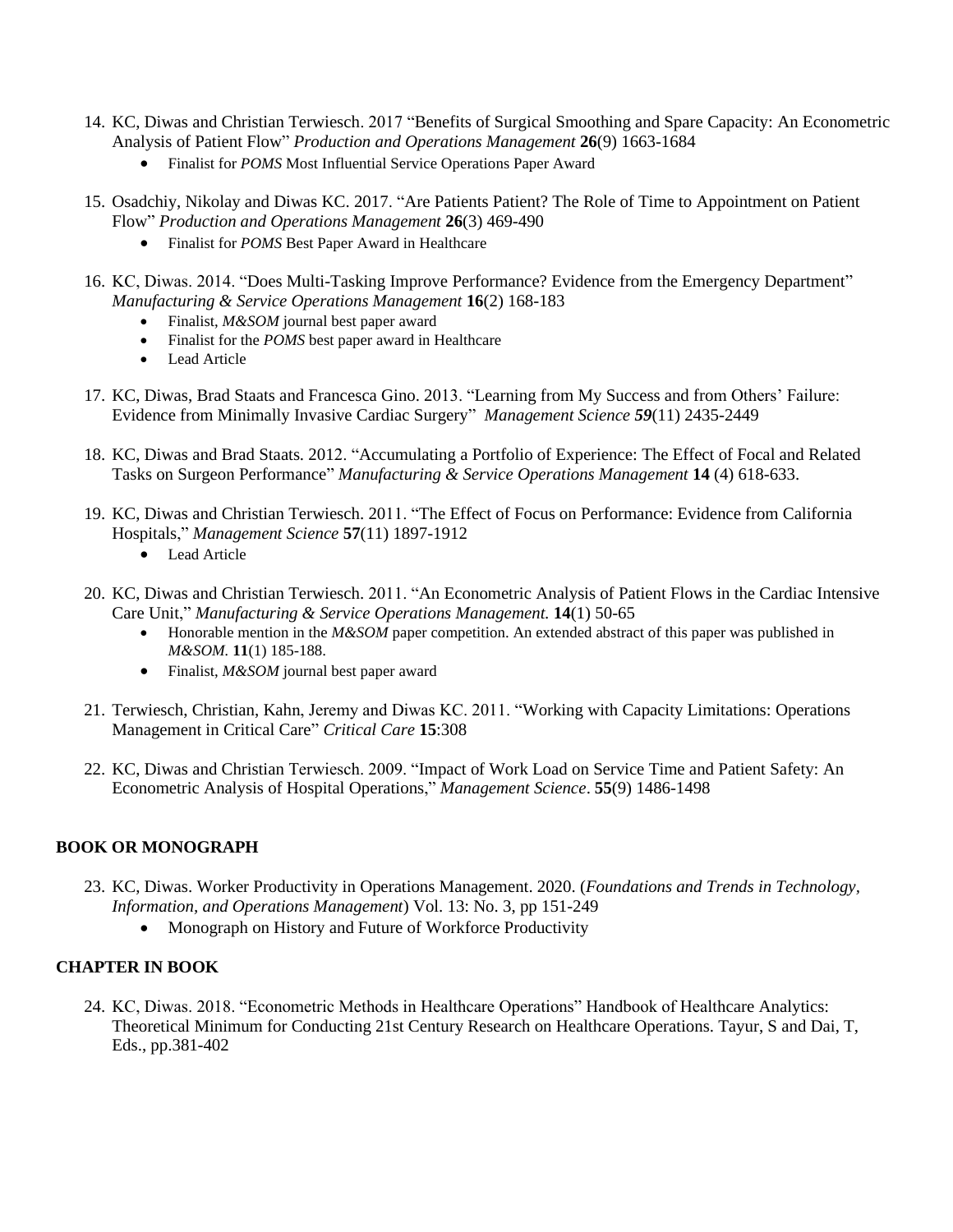- 14. KC, Diwas and Christian Terwiesch. 2017 ["Benefits of Surgical Smoothing and Spare](https://doi.org/10.1111/poms.12714) Capacity: An Econometric Analysis [of Patient Flow"](https://doi.org/10.1111/poms.12714) *Production and Operations Management* **26**(9) 1663-1684
	- Finalist for *POMS* Most Influential Service Operations Paper Award
- 15. Osadchiy, Nikolay and Diwas KC. 2017. ["Are Patients Patient? The Role of Time to Appointment on Patient](https://doi.org/10.1111/poms.12659)  [Flow"](https://doi.org/10.1111/poms.12659) *Production and Operations Management* **26**(3) 469-490
	- Finalist for *POMS* Best Paper Award in Healthcare
- 16. KC, Diwas. 2014. ["Does Multi-Tasking Improve Performance?](https://doi.org/10.1287/msom.2013.0464) Evidence from the Emergency Department" *Manufacturing & Service Operations Management* **16**(2) 168-183
	- Finalist, *M&SOM* journal best paper award
	- Finalist for the *POMS* best paper award in Healthcare
	- Lead Article
- 17. KC, Diwas, Brad Staats and Francesca Gino. 2013. "Learning from [My Success and from Others' Failure:](https://doi.org/10.1287/mnsc.2013.1720)  [Evidence from Minimally Invasive Cardiac Surgery"](https://doi.org/10.1287/mnsc.2013.1720) *Management Science 59*(11) 2435-2449
- 18. KC, Diwas and Brad Staats. 2012. ["Accumulating a Portfolio of Experience: The Effect of Focal and Related](https://pubsonline.informs.org/doi/10.1287/msom.1120.0385)  [Tasks on Surgeon Performance"](https://pubsonline.informs.org/doi/10.1287/msom.1120.0385) *Manufacturing & Service Operations Management* **14** (4) 618-633.
- 19. KC, Diwas and Christian Terwiesch. 2011. ["The Effect of Focus on Performance: Evidence from California](https://doi.org/10.1287/mnsc.1110.1401)  [Hospitals,](https://doi.org/10.1287/mnsc.1110.1401)" *Management Science* **57**(11) 1897-1912
	- Lead Article
- 20. KC, Diwas and Christian Terwiesch. 2011. "An Econometric Analysis of [Patient Flows in the Cardiac Intensive](https://pubsonline.informs.org/doi/abs/10.1287/msom.1110.0341)  [Care Unit,](https://pubsonline.informs.org/doi/abs/10.1287/msom.1110.0341)" *Manufacturing & Service Operations Management.* **14**(1) 50-65
	- Honorable mention in the *M&SOM* paper competition. An extended abstract of this paper was published in *M&SOM.* **11**(1) 185-188.
	- Finalist, *M&SOM* journal best paper award
- 21. Terwiesch, Christian, Kahn, Jeremy and Diwas KC. 2011. ["Working with Capacity Limitations: Operations](https://ccforum.biomedcentral.com/articles/10.1186/cc10217)  [Management in Critical Care"](https://ccforum.biomedcentral.com/articles/10.1186/cc10217) *Critical Care* **15**:308
- 22. KC, Diwas and Christian Terwiesch. 2009. ["Impact of Work Load on Service](https://doi.org/10.1287/mnsc.1090.1037) Time and Patient Safety: An [Econometric Analysis of Hospital Operations,](https://doi.org/10.1287/mnsc.1090.1037)" *Management Science*. **55**(9) 1486-1498

#### **BOOK OR MONOGRAPH**

- 23. KC, Diwas. Worker Productivity [in Operations Management.](https://papers.ssrn.com/sol3/papers.cfm?abstract_id=3466947) 2020. (*Foundations and Trends in Technology, Information, and Operations Management*) Vol. 13: No. 3, pp 151-249
	- Monograph on History and Future of Workforce Productivity

## **CHAPTER IN BOOK**

24. KC, Diwas. 2018. "Econometric Methods in Healthcare Operations" Handbook of Healthcare Analytics: Theoretical Minimum for Conducting 21st Century Research on Healthcare Operations. Tayur, S and Dai, T, Eds., pp.381-402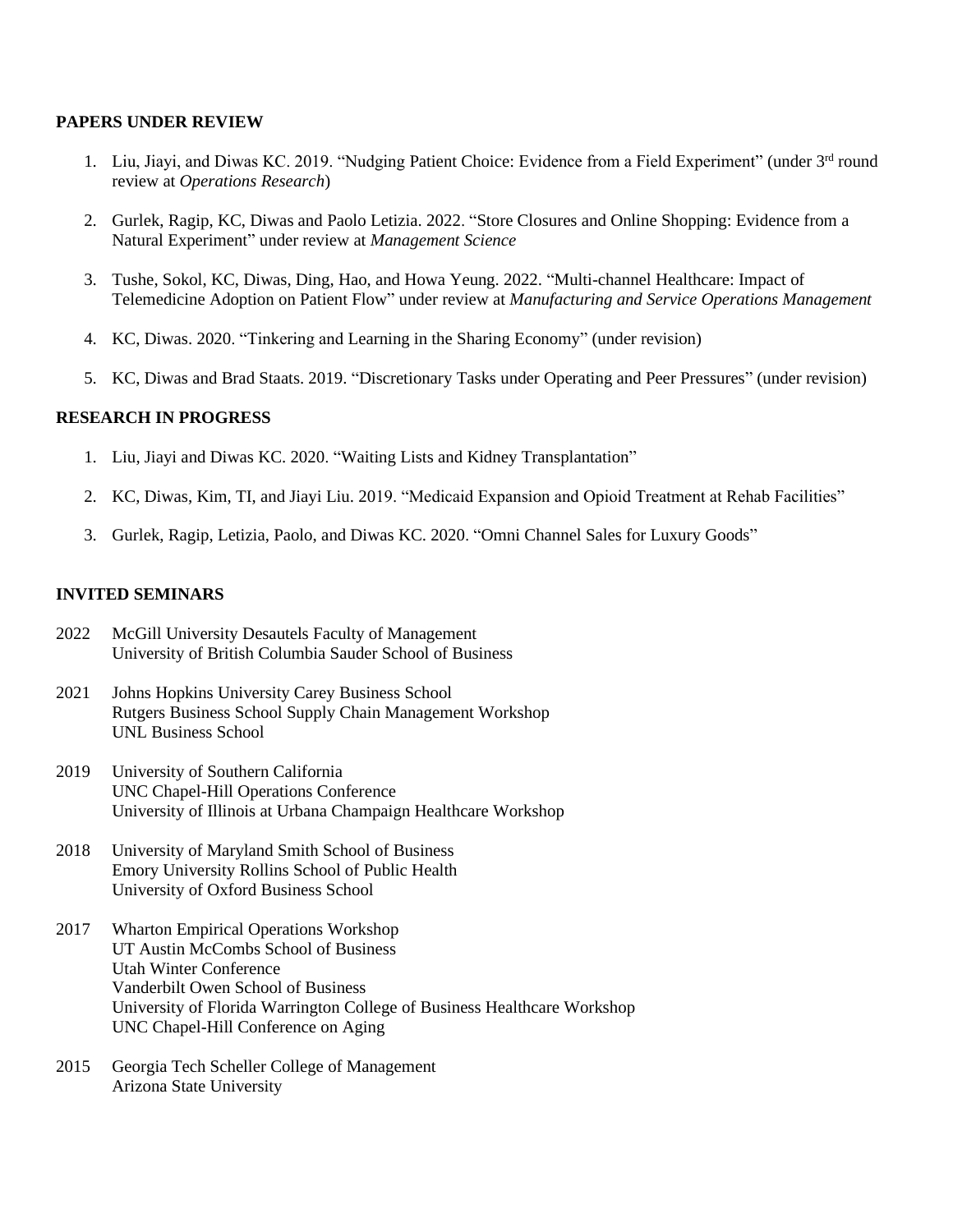#### **PAPERS UNDER REVIEW**

- 1. Liu, Jiayi, and Diwas KC. 2019. "Nudging Patient Choice: Evidence from a Field Experiment" (under 3<sup>rd</sup> round review at *Operations Research*)
- 2. Gurlek, Ragip, KC, Diwas and Paolo Letizia. 2022. "Store Closures and Online Shopping: Evidence from a Natural Experiment" under review at *Management Science*
- 3. Tushe, Sokol, KC, Diwas, Ding, Hao, and Howa Yeung. 2022. "Multi-channel Healthcare: Impact of Telemedicine Adoption on Patient Flow" under review at *Manufacturing and Service Operations Management*
- 4. KC, Diwas. 2020. "Tinkering and Learning in the Sharing Economy" (under revision)
- 5. KC, Diwas and Brad Staats. 2019. "Discretionary Tasks under Operating and Peer Pressures" (under revision)

#### **RESEARCH IN PROGRESS**

- 1. Liu, Jiayi and Diwas KC. 2020. "Waiting Lists and Kidney Transplantation"
- 2. KC, Diwas, Kim, TI, and Jiayi Liu. 2019. "Medicaid Expansion and Opioid Treatment at Rehab Facilities"
- 3. Gurlek, Ragip, Letizia, Paolo, and Diwas KC. 2020. "Omni Channel Sales for Luxury Goods"

#### **INVITED SEMINARS**

- 2022 McGill University Desautels Faculty of Management University of British Columbia Sauder School of Business
- 2021 Johns Hopkins University Carey Business School Rutgers Business School Supply Chain Management Workshop UNL Business School
- 2019 University of Southern California UNC Chapel-Hill Operations Conference University of Illinois at Urbana Champaign Healthcare Workshop
- 2018 University of Maryland Smith School of Business Emory University Rollins School of Public Health University of Oxford Business School
- 2017 Wharton Empirical Operations Workshop UT Austin McCombs School of Business Utah Winter Conference Vanderbilt Owen School of Business University of Florida Warrington College of Business Healthcare Workshop UNC Chapel-Hill Conference on Aging
- 2015 Georgia Tech Scheller College of Management Arizona State University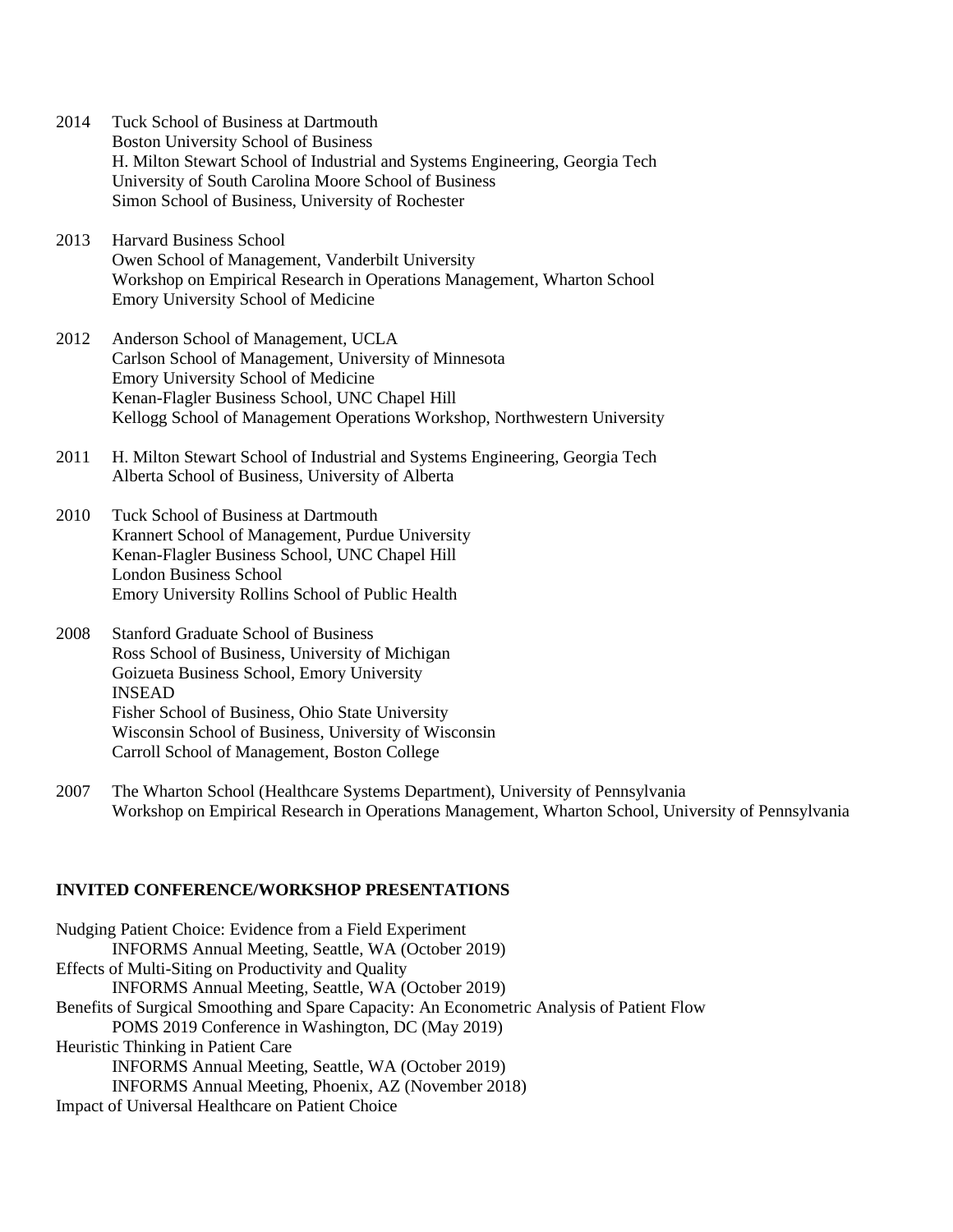- 2014 Tuck School of Business at Dartmouth Boston University School of Business H. Milton Stewart School of Industrial and Systems Engineering, Georgia Tech University of South Carolina Moore School of Business Simon School of Business, University of Rochester
- 2013 Harvard Business School Owen School of Management, Vanderbilt University Workshop on Empirical Research in Operations Management, Wharton School Emory University School of Medicine
- 2012 Anderson School of Management, UCLA Carlson School of Management, University of Minnesota Emory University School of Medicine Kenan-Flagler Business School, UNC Chapel Hill Kellogg School of Management Operations Workshop, Northwestern University
- 2011 H. Milton Stewart School of Industrial and Systems Engineering, Georgia Tech Alberta School of Business, University of Alberta
- 2010 Tuck School of Business at Dartmouth Krannert School of Management, Purdue University Kenan-Flagler Business School, UNC Chapel Hill London Business School Emory University Rollins School of Public Health
- 2008 Stanford Graduate School of Business Ross School of Business, University of Michigan Goizueta Business School, Emory University INSEAD Fisher School of Business, Ohio State University Wisconsin School of Business, University of Wisconsin Carroll School of Management, Boston College
- 2007 The Wharton School (Healthcare Systems Department), University of Pennsylvania Workshop on Empirical Research in Operations Management, Wharton School, University of Pennsylvania

#### **INVITED CONFERENCE/WORKSHOP PRESENTATIONS**

| Nudging Patient Choice: Evidence from a Field Experiment                                   |
|--------------------------------------------------------------------------------------------|
| INFORMS Annual Meeting, Seattle, WA (October 2019)                                         |
| Effects of Multi-Siting on Productivity and Quality                                        |
| INFORMS Annual Meeting, Seattle, WA (October 2019)                                         |
| Benefits of Surgical Smoothing and Spare Capacity: An Econometric Analysis of Patient Flow |
| POMS 2019 Conference in Washington, DC (May 2019)                                          |
| Heuristic Thinking in Patient Care                                                         |
| INFORMS Annual Meeting, Seattle, WA (October 2019)                                         |
| INFORMS Annual Meeting, Phoenix, AZ (November 2018)                                        |
| Impact of Universal Healthcare on Patient Choice                                           |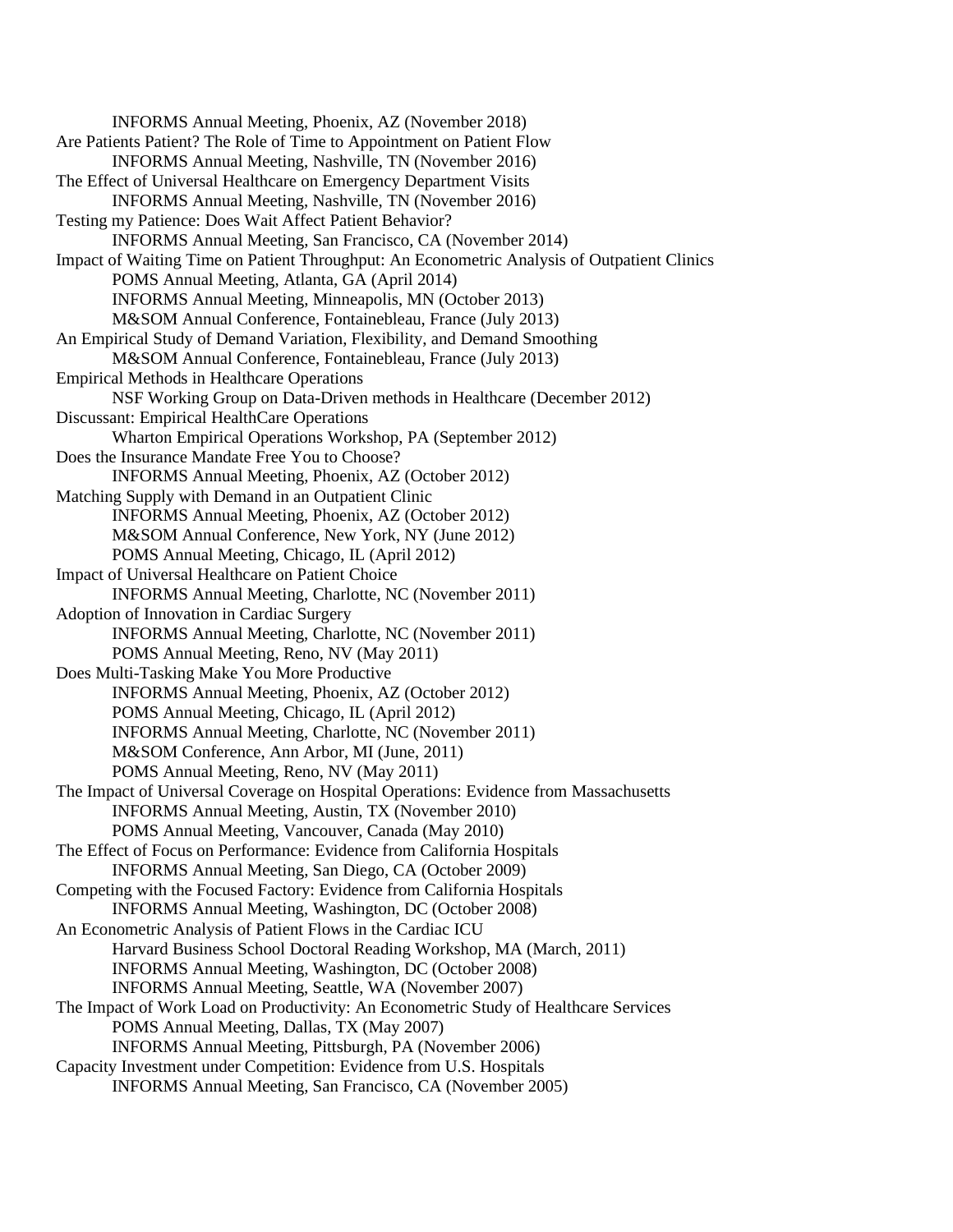INFORMS Annual Meeting, Phoenix, AZ (November 2018) Are Patients Patient? The Role of Time to Appointment on Patient Flow INFORMS Annual Meeting, Nashville, TN (November 2016) The Effect of Universal Healthcare on Emergency Department Visits INFORMS Annual Meeting, Nashville, TN (November 2016) Testing my Patience: Does Wait Affect Patient Behavior? INFORMS Annual Meeting, San Francisco, CA (November 2014) Impact of Waiting Time on Patient Throughput: An Econometric Analysis of Outpatient Clinics POMS Annual Meeting, Atlanta, GA (April 2014) INFORMS Annual Meeting, Minneapolis, MN (October 2013) M&SOM Annual Conference, Fontainebleau, France (July 2013) An Empirical Study of Demand Variation, Flexibility, and Demand Smoothing M&SOM Annual Conference, Fontainebleau, France (July 2013) Empirical Methods in Healthcare Operations NSF Working Group on Data-Driven methods in Healthcare (December 2012) Discussant: Empirical HealthCare Operations Wharton Empirical Operations Workshop, PA (September 2012) Does the Insurance Mandate Free You to Choose? INFORMS Annual Meeting, Phoenix, AZ (October 2012) Matching Supply with Demand in an Outpatient Clinic INFORMS Annual Meeting, Phoenix, AZ (October 2012) M&SOM Annual Conference, New York, NY (June 2012) POMS Annual Meeting, Chicago, IL (April 2012) Impact of Universal Healthcare on Patient Choice INFORMS Annual Meeting, Charlotte, NC (November 2011) Adoption of Innovation in Cardiac Surgery INFORMS Annual Meeting, Charlotte, NC (November 2011) POMS Annual Meeting, Reno, NV (May 2011) Does Multi-Tasking Make You More Productive INFORMS Annual Meeting, Phoenix, AZ (October 2012) POMS Annual Meeting, Chicago, IL (April 2012) INFORMS Annual Meeting, Charlotte, NC (November 2011) M&SOM Conference, Ann Arbor, MI (June, 2011) POMS Annual Meeting, Reno, NV (May 2011) The Impact of Universal Coverage on Hospital Operations: Evidence from Massachusetts INFORMS Annual Meeting, Austin, TX (November 2010) POMS Annual Meeting, Vancouver, Canada (May 2010) The Effect of Focus on Performance: Evidence from California Hospitals INFORMS Annual Meeting, San Diego, CA (October 2009) Competing with the Focused Factory: Evidence from California Hospitals INFORMS Annual Meeting, Washington, DC (October 2008) An Econometric Analysis of Patient Flows in the Cardiac ICU Harvard Business School Doctoral Reading Workshop, MA (March, 2011) INFORMS Annual Meeting, Washington, DC (October 2008) INFORMS Annual Meeting, Seattle, WA (November 2007) The Impact of Work Load on Productivity: An Econometric Study of Healthcare Services POMS Annual Meeting, Dallas, TX (May 2007) INFORMS Annual Meeting, Pittsburgh, PA (November 2006) Capacity Investment under Competition: Evidence from U.S. Hospitals INFORMS Annual Meeting, San Francisco, CA (November 2005)